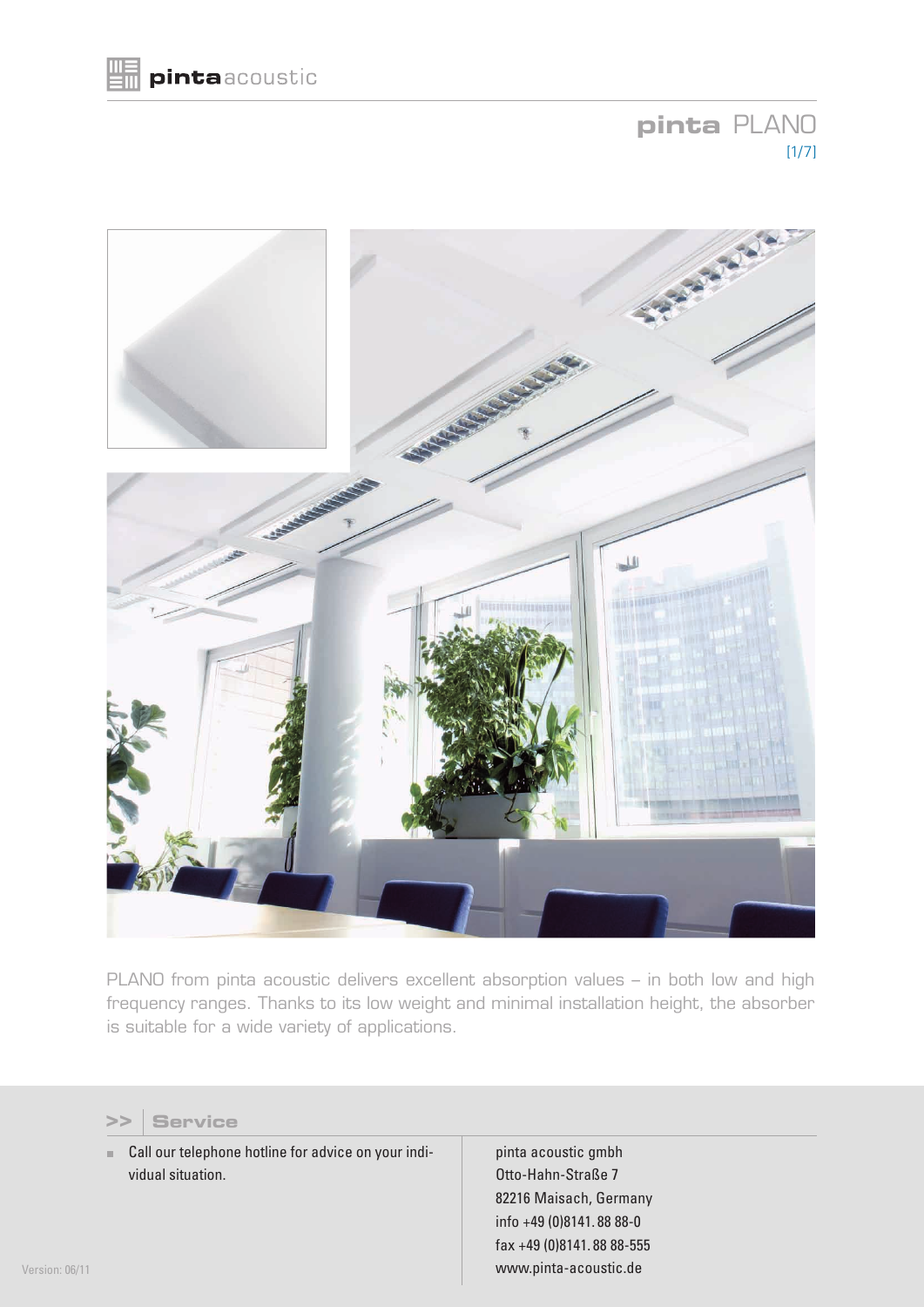# **pinta** PLANO  $[1/7]$



PLANO from pinta acoustic delivers excellent absorption values – in both low and high frequency ranges. Thanks to its low weight and minimal installation height, the absorber is suitable for a wide variety of applications.



■ Call our telephone hotline for advice on your individual situation.

pinta acoustic gmbh Otto-Hahn-Straße 7 82216 Maisach, Germany info +49 (0)8141. 88 88-0 fax +49 (0)8141. 88 88-555 www.pinta-acoustic.de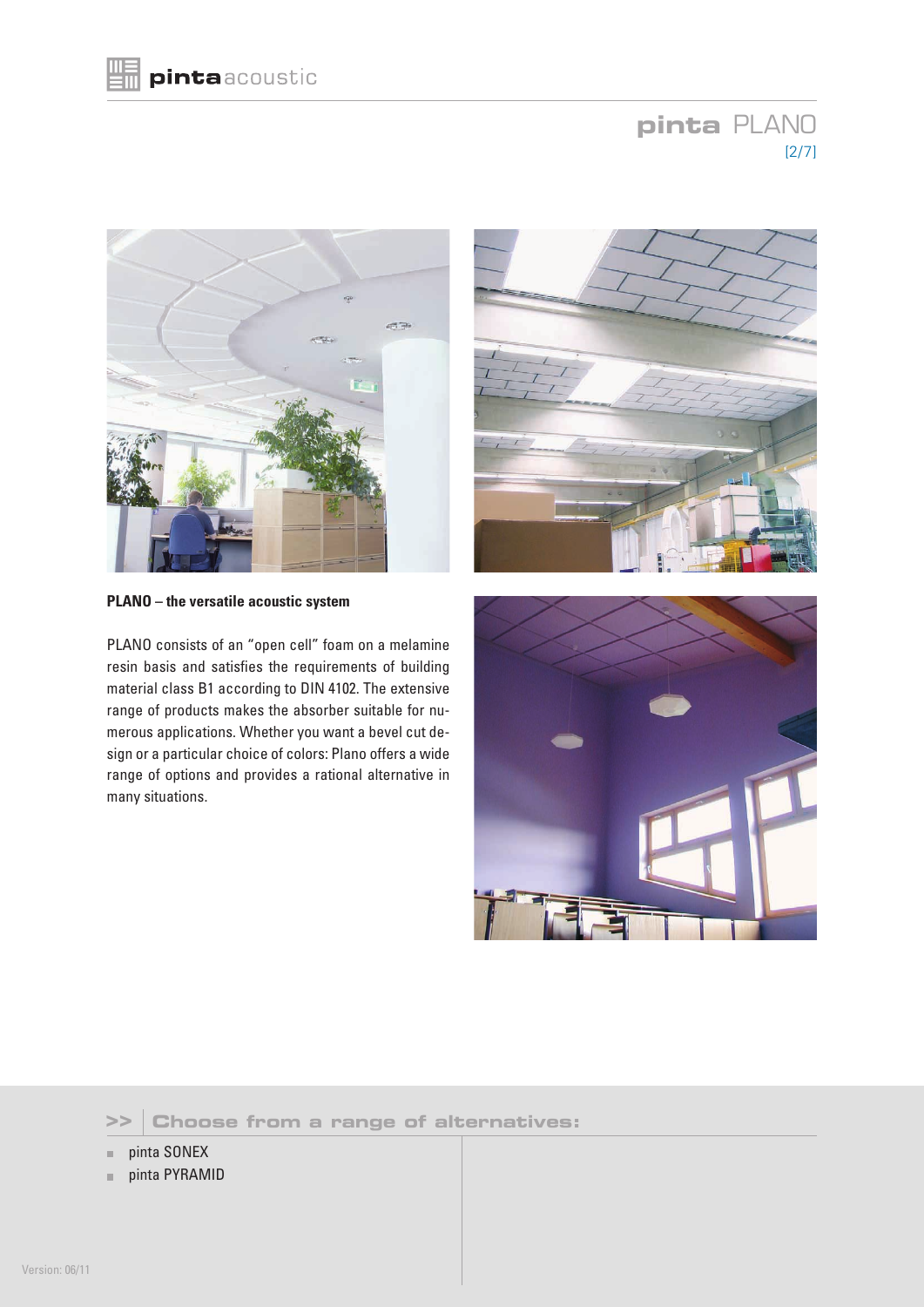# **pinta** PLANO [2/7]



**PLANO – the versatile acoustic system**

PLANO consists of an "open cell" foam on a melamine resin basis and satisfies the requirements of building material class B1 according to DIN 4102. The extensive range of products makes the absorber suitable for numerous applications. Whether you want a bevel cut design or a particular choice of colors: Plano offers a wide range of options and provides a rational alternative in many situations.



### **>> Choose from a range of alternatives:**

- pinta SONEX m.
- pinta PYRAMID u.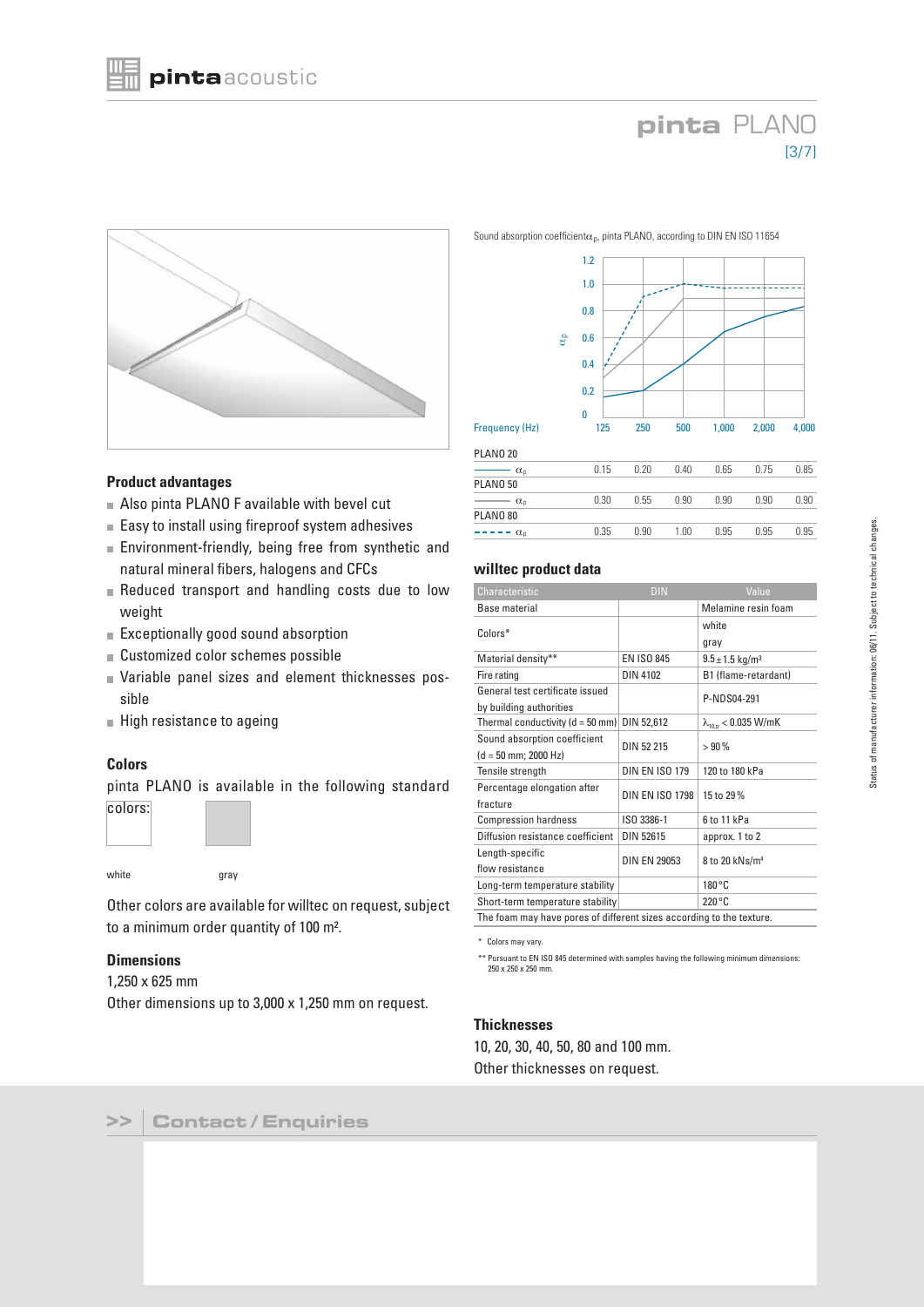# **pinta** PLANO [3/7]



#### **Product advantages**

- Also pinta PLANO F available with bevel cut
- Easy to install using fireproof system adhesives
- **Environment-friendly, being free from synthetic and** natural mineral fibers, halogens and CFCs
- Reduced transport and handling costs due to low weight
- Exceptionally good sound absorption
- Customized color schemes possible
- Variable panel sizes and element thicknesses possible
- High resistance to ageing

#### **Colors**

pinta PLANO is available in the following standard colors:



white gray

Other colors are available for willtec on request, subject to a minimum order quantity of 100 m².

#### **Dimensions**

1,250 x 625 mm

Other dimensions up to 3,000 x 1,250 mm on request.



| $\alpha_{n}$          | 0.15 | 0.20 | 0.40 | 0.65 | 0.75 | 0.85 |
|-----------------------|------|------|------|------|------|------|
| PLANO 50              |      |      |      |      |      |      |
| $\alpha_{0}$          | 0.30 | 0.55 | 0.90 | 0.90 | 0.90 | 0.90 |
| PLANO 80              |      |      |      |      |      |      |
| -----<br>$\alpha_{n}$ | 0.35 | 0.90 | 1.00 | 0.95 | 0.95 | 0.95 |
|                       |      |      |      |      |      |      |

#### **willtec product data**

| Characteristic                                                       | DIN                    | Value,                          |  |  |  |
|----------------------------------------------------------------------|------------------------|---------------------------------|--|--|--|
| Base material                                                        |                        | Melamine resin foam             |  |  |  |
| Colors*                                                              |                        | white                           |  |  |  |
|                                                                      |                        | gray                            |  |  |  |
| Material density**                                                   | <b>EN ISO 845</b>      | $9.5 \pm 1.5$ kg/m <sup>3</sup> |  |  |  |
| Fire rating                                                          | <b>DIN 4102</b>        | B1 (flame-retardant)            |  |  |  |
| General test certificate issued                                      |                        | P-NDS04-291                     |  |  |  |
| by building authorities                                              |                        |                                 |  |  |  |
| Thermal conductivity ( $d = 50$ mm)                                  | DIN 52,612             | $\lambda_{10,tr}$ < 0.035 W/mK  |  |  |  |
| Sound absorption coefficient                                         | DIN 52 215             | >90%                            |  |  |  |
| $(d = 50$ mm; 2000 Hz)                                               |                        |                                 |  |  |  |
| Tensile strength                                                     | <b>DIN EN ISO 179</b>  | 120 to 180 kPa                  |  |  |  |
| Percentage elongation after                                          | <b>DIN EN ISO 1798</b> | 15 to 29%                       |  |  |  |
| fracture                                                             |                        |                                 |  |  |  |
| <b>Compression hardness</b>                                          | ISO 3386-1             | 6 to 11 kPa                     |  |  |  |
| Diffusion resistance coefficient                                     | DIN 52615              | approx. 1 to 2                  |  |  |  |
| Length-specific                                                      | <b>DIN EN 29053</b>    | 8 to 20 kNs/m <sup>4</sup>      |  |  |  |
| flow resistance                                                      |                        |                                 |  |  |  |
| Long-term temperature stability                                      |                        | 180 °C                          |  |  |  |
| Short-term temperature stability                                     |                        | 220 °C                          |  |  |  |
| The foam may have pores of different sizes according to the texture. |                        |                                 |  |  |  |

\* Colors may vary.

\*\* Pursuant to EN ISO 845 determined with samples having the following minimum dimensions: 250 x 250 x 250 mm.

#### **Thicknesses**

10, 20, 30, 40, 50, 80 and 100 mm. Other thicknesses on request.

Sound absorption coefficient $\alpha_p$ , pinta PLANO, according to DIN EN ISO 11654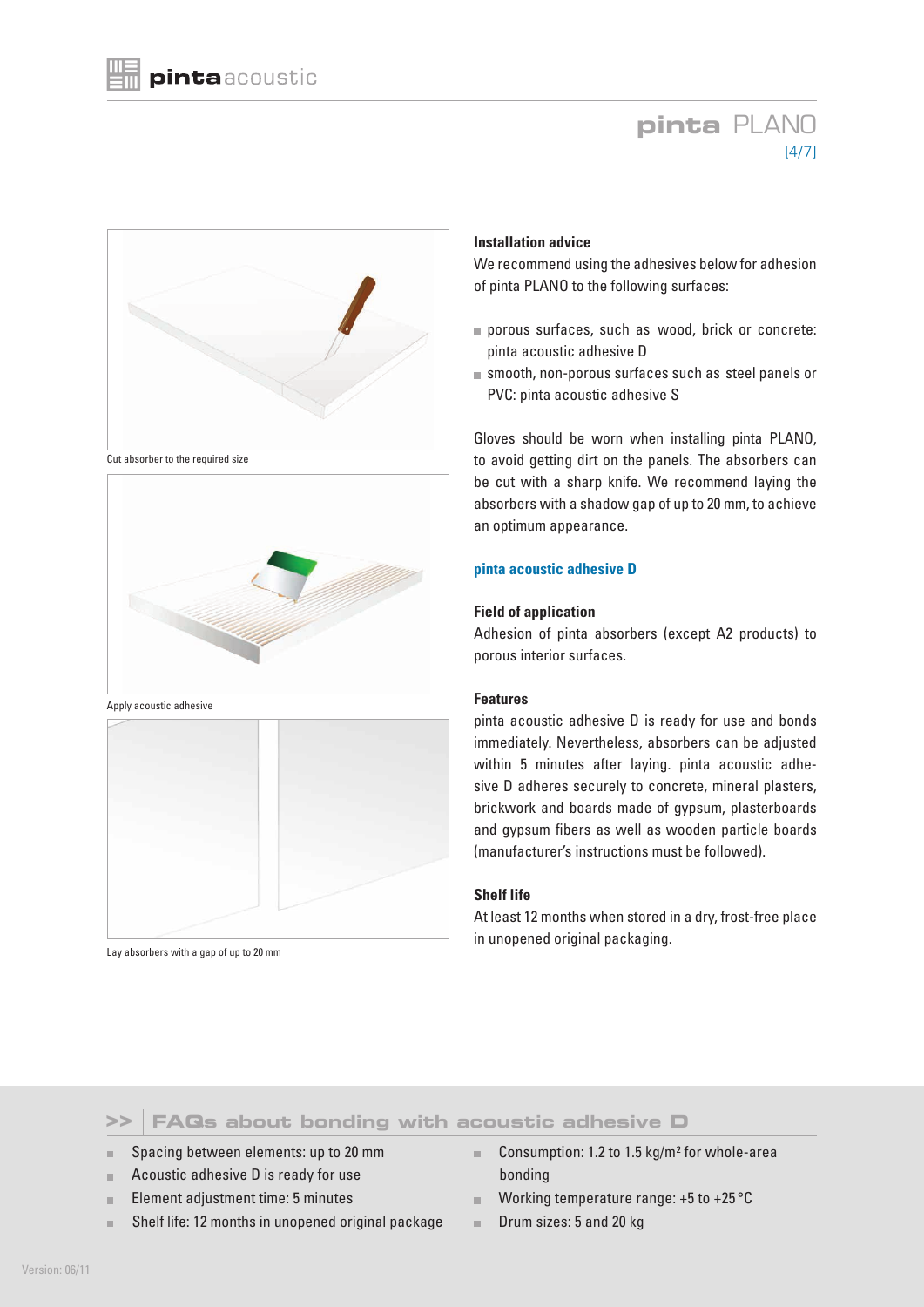# **pinta** PLANO  $[4/7]$



Cut absorber to the required size



Apply acoustic adhesive



Lay absorbers with a gap of up to 20 mm

### **Installation advice**

We recommend using the adhesives below for adhesion of pinta PLANO to the following surfaces:

- porous surfaces, such as wood, brick or concrete: pinta acoustic adhesive D
- smooth, non-porous surfaces such as steel panels or PVC: pinta acoustic adhesive S

Gloves should be worn when installing pinta PLANO, to avoid getting dirt on the panels. The absorbers can be cut with a sharp knife. We recommend laying the absorbers with a shadow gap of up to 20 mm, to achieve an optimum appearance.

#### **pinta acoustic adhesive D**

#### **Field of application**

Adhesion of pinta absorbers (except A2 products) to porous interior surfaces.

#### **Features**

pinta acoustic adhesive D is ready for use and bonds immediately. Nevertheless, absorbers can be adjusted within 5 minutes after laying. pinta acoustic adhesive D adheres securely to concrete, mineral plasters, brickwork and boards made of gypsum, plasterboards and gypsum fibers as well as wooden particle boards (manufacturer's instructions must be followed).

#### **Shelf life**

At least 12 months when stored in a dry, frost-free place in unopened original packaging.

### **FAQs about bonding with acoustic adhesive D >>**

- **Spacing between elements: up to 20 mm**
- **Acoustic adhesive D is ready for use**
- Element adjustment time: 5 minutes m.
- Shelf life: 12 months in unopened original package
- Consumption: 1.2 to 1.5 kg/m<sup>2</sup> for whole-area bonding
- **Working temperature range: +5 to +25 °C**
- Drum sizes: 5 and 20 kg  $\mathcal{C}$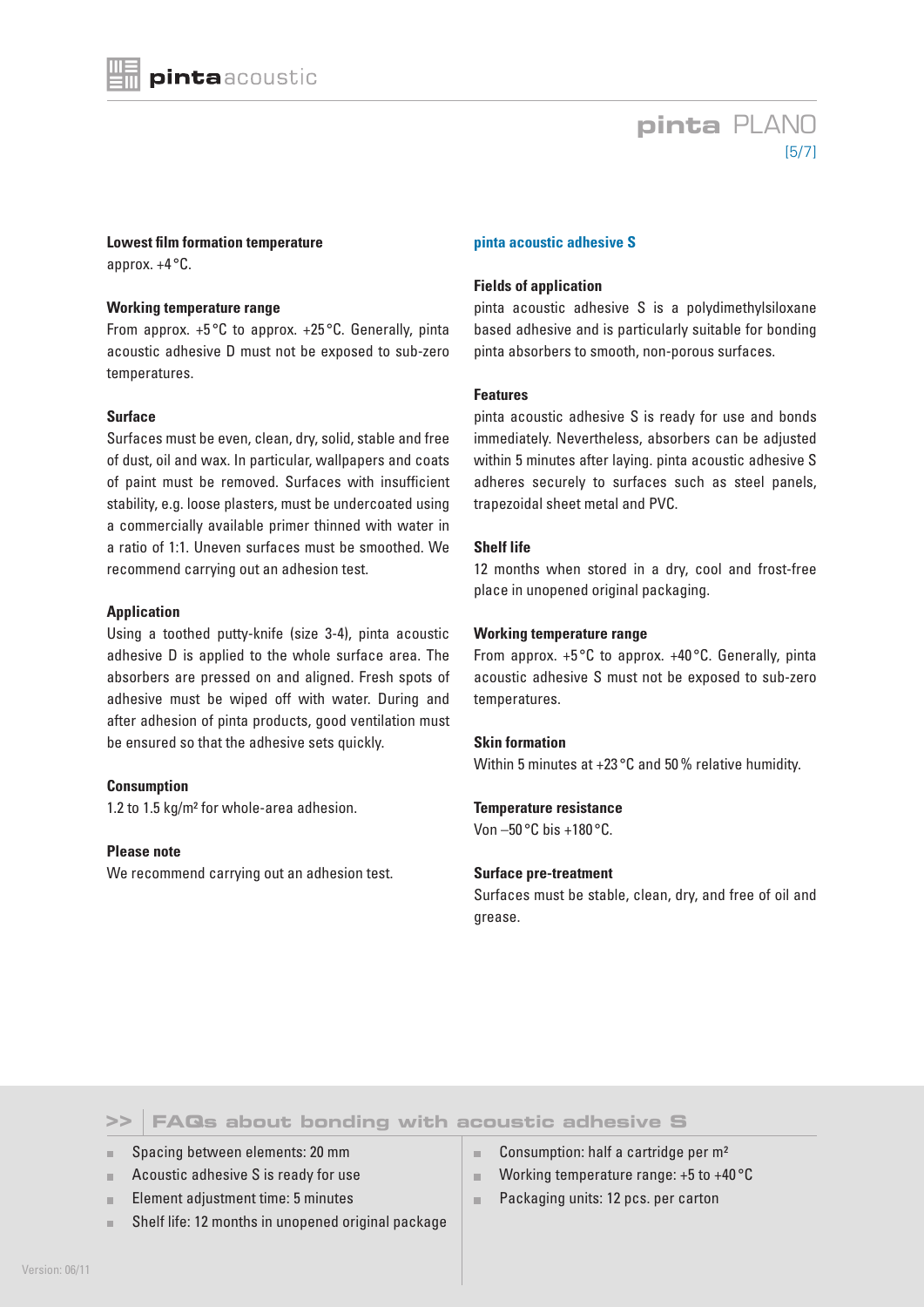### **pinta** PLANO [5/7]

**Lowest film formation temperature** approx. +4 °C.

#### **Working temperature range**

From approx. +5 °C to approx. +25 °C. Generally, pinta acoustic adhesive D must not be exposed to sub-zero temperatures.

#### **Surface**

Surfaces must be even, clean, dry, solid, stable and free of dust, oil and wax. In particular, wallpapers and coats of paint must be removed. Surfaces with insufficient stability, e.g. loose plasters, must be undercoated using a commercially available primer thinned with water in a ratio of 1:1. Uneven surfaces must be smoothed. We recommend carrying out an adhesion test.

#### **Application**

Using a toothed putty-knife (size 3-4), pinta acoustic adhesive D is applied to the whole surface area. The absorbers are pressed on and aligned. Fresh spots of adhesive must be wiped off with water. During and after adhesion of pinta products, good ventilation must be ensured so that the adhesive sets quickly.

#### **Consumption**

1.2 to 1.5 kg/m² for whole-area adhesion.

#### **Please note**

We recommend carrying out an adhesion test.

#### **pinta acoustic adhesive S**

#### **Fields of application**

pinta acoustic adhesive S is a polydimethylsiloxane based adhesive and is particularly suitable for bonding pinta absorbers to smooth, non-porous surfaces.

#### **Features**

pinta acoustic adhesive S is ready for use and bonds immediately. Nevertheless, absorbers can be adjusted within 5 minutes after laying. pinta acoustic adhesive S adheres securely to surfaces such as steel panels, trapezoidal sheet metal and PVC.

#### **Shelf life**

12 months when stored in a dry, cool and frost-free place in unopened original packaging.

#### **Working temperature range**

From approx.  $+5$ °C to approx.  $+40$ °C. Generally, pinta acoustic adhesive S must not be exposed to sub-zero temperatures.

#### **Skin formation**

Within 5 minutes at +23 °C and 50% relative humidity.

#### **Temperature resistance**

Von  $-50$  °C bis  $+180$  °C.

#### **Surface pre-treatment**

Surfaces must be stable, clean, dry, and free of oil and grease.

### **FAQs about bonding with acoustic adhesive S >>**

Spacing between elements: 20 mm

- **Acoustic adhesive S is ready for use**
- Element adjustment time: 5 minutes m.
- Shelf life: 12 months in unopened original package
- Consumption: half a cartridge per m²  $\sim$
- $\mathbb{R}^d$ Working temperature range: +5 to +40 °C
- Packaging units: 12 pcs. per carton  $\bar{\alpha}$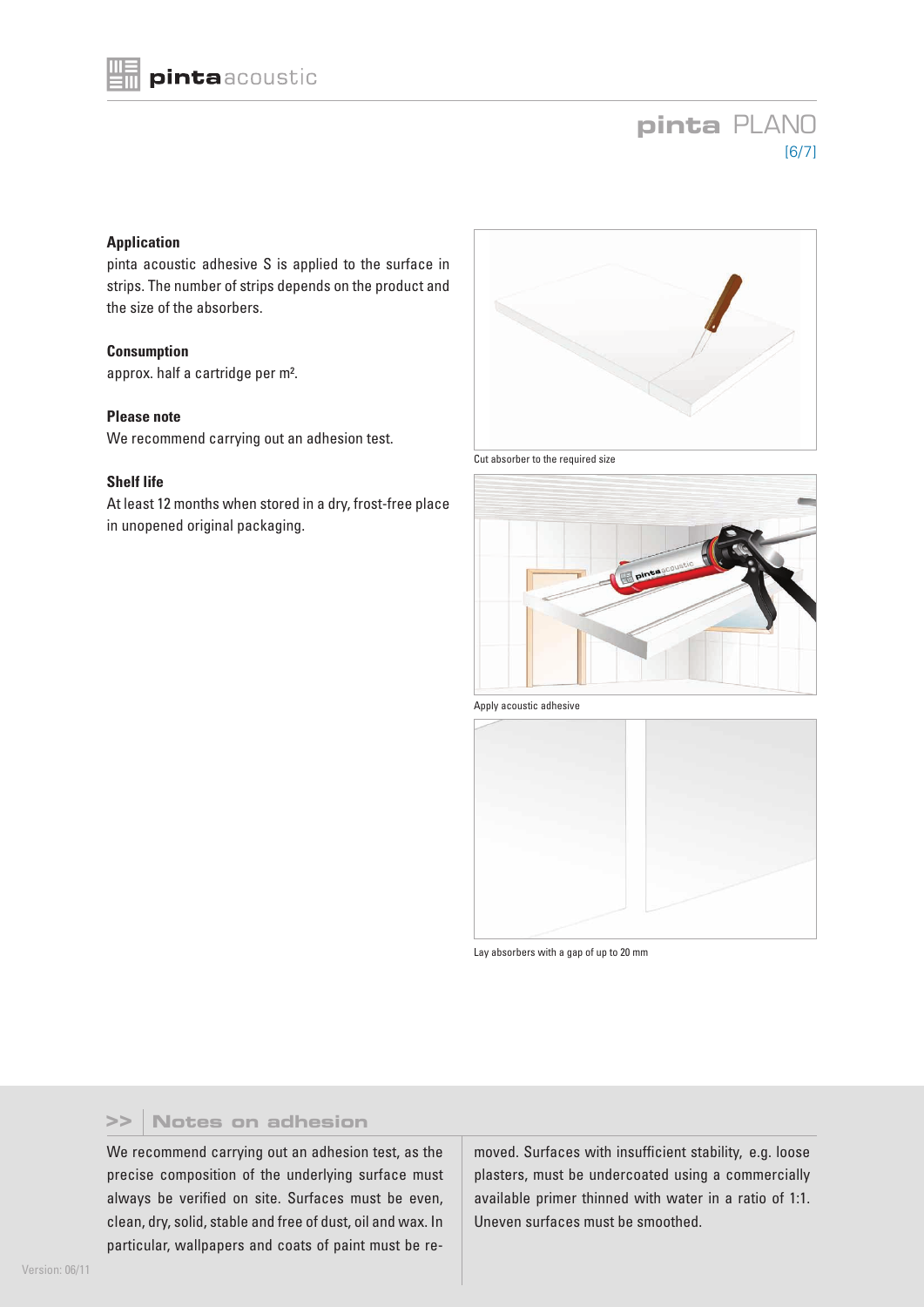# **pinta** PLANO [6/7]

#### **Application**

pinta acoustic adhesive S is applied to the surface in strips. The number of strips depends on the product and the size of the absorbers.

#### **Consumption**

approx. half a cartridge per m².

#### **Please note**

We recommend carrying out an adhesion test.

#### **Shelf life**

At least 12 months when stored in a dry, frost-free place in unopened original packaging.



Cut absorber to the required size



Apply acoustic adhesive



Lay absorbers with a gap of up to 20 mm

#### **Notes on adhesion >>**

We recommend carrying out an adhesion test, as the precise composition of the underlying surface must always be verified on site. Surfaces must be even, clean, dry, solid, stable and free of dust, oil and wax. In particular, wallpapers and coats of paint must be removed. Surfaces with insufficient stability, e.g. loose plasters, must be undercoated using a commercially available primer thinned with water in a ratio of 1:1. Uneven surfaces must be smoothed.